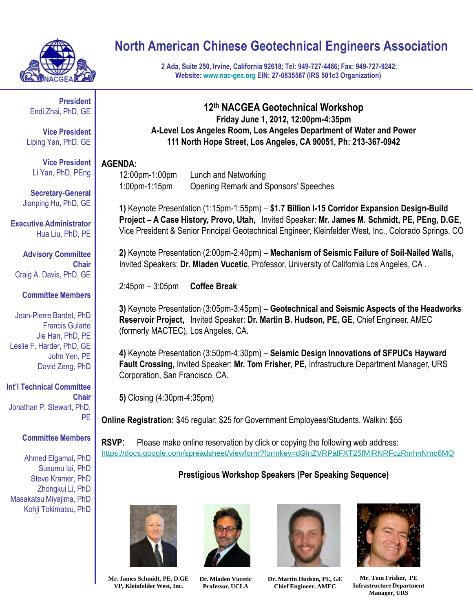

# **North American Chinese Geotechnical Engineers Association**

**2 Ada, Suite 250, Irvine, California 92618; Tel: 949-727-4466; Fax: 949-727-9242; Website: [www.nac-gea.org](http://www.nac-gea.org/) EIN: 27-0835587 (IRS 501c3 Organization)**

**President** Endi Zhai, PhD, GE

**Vice President** Liping Yan, PhD, GE

**Vice President** Li Yan, PhD, PEng

**Secretary-General** Jianping Hu, PhD, GE

**Executive Administrator** Hua Liu, PhD, PE

**Advisory Committee Chair** Craig A. Davis, PhD, GE

#### **Committee Members**

Jean-Pierre Bardet, PhD Francis Gularte Jie Han, PhD, PE Leslie F. Harder, PhD, GE John Yen, PE David Zeng, PhD

**Int'l Technical Committee Chair** Jonathan P. Stewart, PhD, PE

### **Committee Members**

Ahmed Elgamal, PhD Susumu Iai, PhD Steve Kramer, PhD Zhongkui Li, PhD Masakatsu Miyajima, PhD Kohji Tokimatsu, PhD

### **12th NACGEA Geotechnical Workshop Friday June 1, 2012, 12:00pm-4:35pm A-Level Los Angeles Room, Los Angeles Department of Water and Power 111 North Hope Street, Los Angeles, CA 90051, Ph: 213-367-0942**

### **AGENDA:**

12:00pm-1:00pm Lunch and Networking 1:00pm-1:15pm Opening Remark and Sponsors' Speeches

**1)** Keynote Presentation (1:15pm-1:55pm) – **\$1.7 Billion I-15 Corridor Expansion Design-Build Project – A Case History, Provo, Utah,** Invited Speaker: **Mr. James M. Schmidt, PE, PEng, D.GE**, Vice President & Senior Principal Geotechnical Engineer, Kleinfelder West, Inc., Colorado Springs, CO

**2)** Keynote Presentation (2:00pm-2:40pm) – **Mechanism of Seismic Failure of Soil-Nailed Walls,**  Invited Speakers: **Dr. Mladen Vucetic**, Professor, University of California Los Angeles, CA .

2:45pm – 3:05pm **Coffee Break**

**3)** Keynote Presentation (3:05pm-3:45pm) – **Geotechnical and Seismic Aspects of the Headworks Reservoir Project,** Invited Speaker: **Dr. Martin B. Hudson, PE, GE**, Chief Engineer, AMEC (formerly MACTEC), Los Angeles, CA.

**4)** Keynote Presentation (3:50pm-4:30pm) – **Seismic Design Innovations of SFPUCs Hayward Fault Crossing,** Invited Speaker: **Mr. Tom Frisher, PE,** Infrastructure Department Manager, URS Corporation, San Francisco, CA.

**5)** Closing (4:30pm-4:35pm)

**Online Registration:** \$45 regular; \$25 for Government Employees/Students. Walkin: \$55

**RSVP:** Please make online reservation by click or copying the following web address: <https://docs.google.com/spreadsheet/viewform?formkey=dGlnZVRPalFXT25fMlRNRFczRmhnNmc6MQ>

## **Prestigious Workshop Speakers (Per Speaking Sequence)**









**Mr. James Schmidt, PE, D.GE VP, Kleinfelder West, Inc.**

**Dr. Mladen Vucetic Professor, UCLA**

**Dr. Martin Hudson, PE, GE Chief Engineer, AMEC**

**Mr. Tom Frisher, PE Infrastructure Department Manager, URS**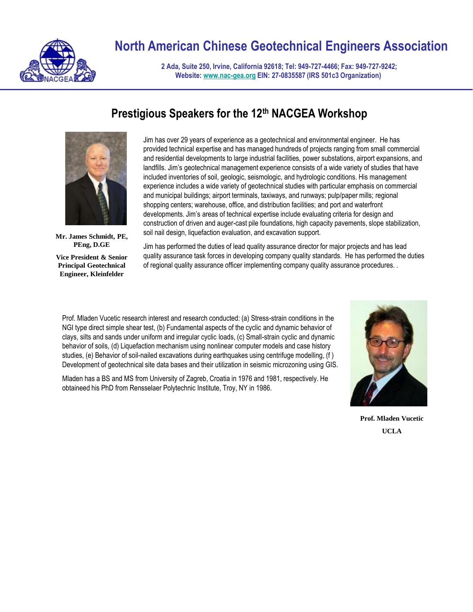

# **North American Chinese Geotechnical Engineers Association**

**2 Ada, Suite 250, Irvine, California 92618; Tel: 949-727-4466; Fax: 949-727-9242; Website: [www.nac-gea.org](http://www.nac-gea.org/) EIN: 27-0835587 (IRS 501c3 Organization)**

## **Prestigious Speakers for the 12th NACGEA Workshop**



**Mr. James Schmidt, PE, PEng, D.GE**

**Vice President & Senior Principal Geotechnical Engineer, Kleinfelder**

Jim has over 29 years of experience as a geotechnical and environmental engineer. He has provided technical expertise and has managed hundreds of projects ranging from small commercial and residential developments to large industrial facilities, power substations, airport expansions, and landfills. Jim's geotechnical management experience consists of a wide variety of studies that have included inventories of soil, geologic, seismologic, and hydrologic conditions. His management experience includes a wide variety of geotechnical studies with particular emphasis on commercial and municipal buildings; airport terminals, taxiways, and runways; pulp/paper mills; regional shopping centers; warehouse, office, and distribution facilities; and port and waterfront developments. Jim's areas of technical expertise include evaluating criteria for design and construction of driven and auger-cast pile foundations, high capacity pavements, slope stabilization, soil nail design, liquefaction evaluation, and excavation support.

Jim has performed the duties of lead quality assurance director for major projects and has lead quality assurance task forces in developing company quality standards. He has performed the duties of regional quality assurance officer implementing company quality assurance procedures. .

Prof. Mladen Vucetic research interest and research conducted: (a) Stress-strain conditions in the NGI type direct simple shear test, (b) Fundamental aspects of the cyclic and dynamic behavior of clays, silts and sands under uniform and irregular cyclic loads, (c) Small-strain cyclic and dynamic behavior of soils, (d) Liquefaction mechanism using nonlinear computer models and case history studies, (e) Behavior of soil-nailed excavations during earthquakes using centrifuge modelling, (f ) Development of geotechnical site data bases and their utilization in seismic microzoning using GIS.

Mladen has a BS and MS from University of Zagreb, Croatia in 1976 and 1981, respectively. He obtaineed his PhD from Rensselaer Polytechnic Institute, Troy, NY in 1986.



**Prof. Mladen Vucetic UCLA**